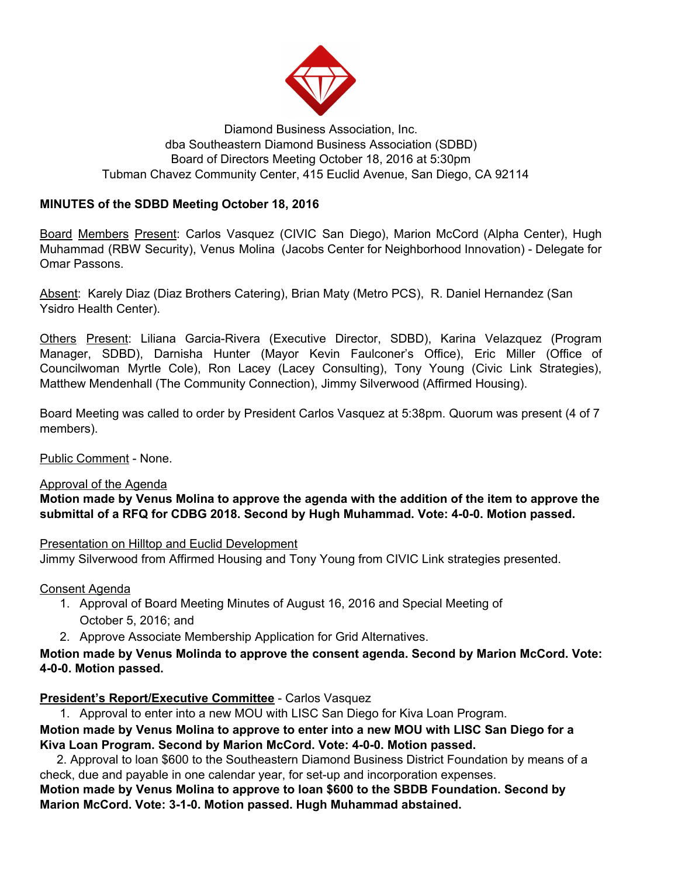

## Diamond Business Association, Inc. dba Southeastern Diamond Business Association (SDBD) Board of Directors Meeting October 18, 2016 at 5:30pm Tubman Chavez Community Center, 415 Euclid Avenue, San Diego, CA 92114

## **MINUTES of the SDBD Meeting October 18, 2016**

Board Members Present: Carlos Vasquez (CIVIC San Diego), Marion McCord (Alpha Center), Hugh Muhammad (RBW Security), Venus Molina (Jacobs Center for Neighborhood Innovation) - Delegate for Omar Passons.

Absent: Karely Diaz (Diaz Brothers Catering), Brian Maty (Metro PCS), R. Daniel Hernandez (San Ysidro Health Center).

Others Present: Liliana Garcia-Rivera (Executive Director, SDBD), Karina Velazquez (Program Manager, SDBD), Darnisha Hunter (Mayor Kevin Faulconer's Office), Eric Miller (Office of Councilwoman Myrtle Cole), Ron Lacey (Lacey Consulting), Tony Young (Civic Link Strategies), Matthew Mendenhall (The Community Connection), Jimmy Silverwood (Affirmed Housing).

Board Meeting was called to order by President Carlos Vasquez at 5:38pm. Quorum was present (4 of 7 members).

Public Comment - None.

### Approval of the Agenda

**Motion made by Venus Molina to approve the agenda with the addition of the item to approve the submittal of a RFQ for CDBG 2018. Second by Hugh Muhammad. Vote: 4-0-0. Motion passed.**

### Presentation on Hilltop and Euclid Development

Jimmy Silverwood from Affirmed Housing and Tony Young from CIVIC Link strategies presented.

Consent Agenda

- 1. Approval of Board Meeting Minutes of August 16, 2016 and Special Meeting of October 5, 2016; and
- 2. Approve Associate Membership Application for Grid Alternatives.

## **Motion made by Venus Molinda to approve the consent agenda. Second by Marion McCord. Vote: 4-0-0. Motion passed.**

### **President's Report/Executive Committee** - Carlos Vasquez

1. Approval to enter into a new MOU with LISC San Diego for Kiva Loan Program.

**Motion made by Venus Molina to approve to enter into a new MOU with LISC San Diego for a Kiva Loan Program. Second by Marion McCord. Vote: 4-0-0. Motion passed.**

 2. Approval to loan \$600 to the Southeastern Diamond Business District Foundation by means of a check, due and payable in one calendar year, for set-up and incorporation expenses.

**Motion made by Venus Molina to approve to loan \$600 to the SBDB Foundation. Second by Marion McCord. Vote: 3-1-0. Motion passed. Hugh Muhammad abstained.**